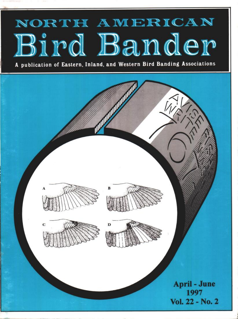# **AM ER CAN**  Bird Bander

**A publication of Eastern, Inland, and Western Bird Banding Associations**